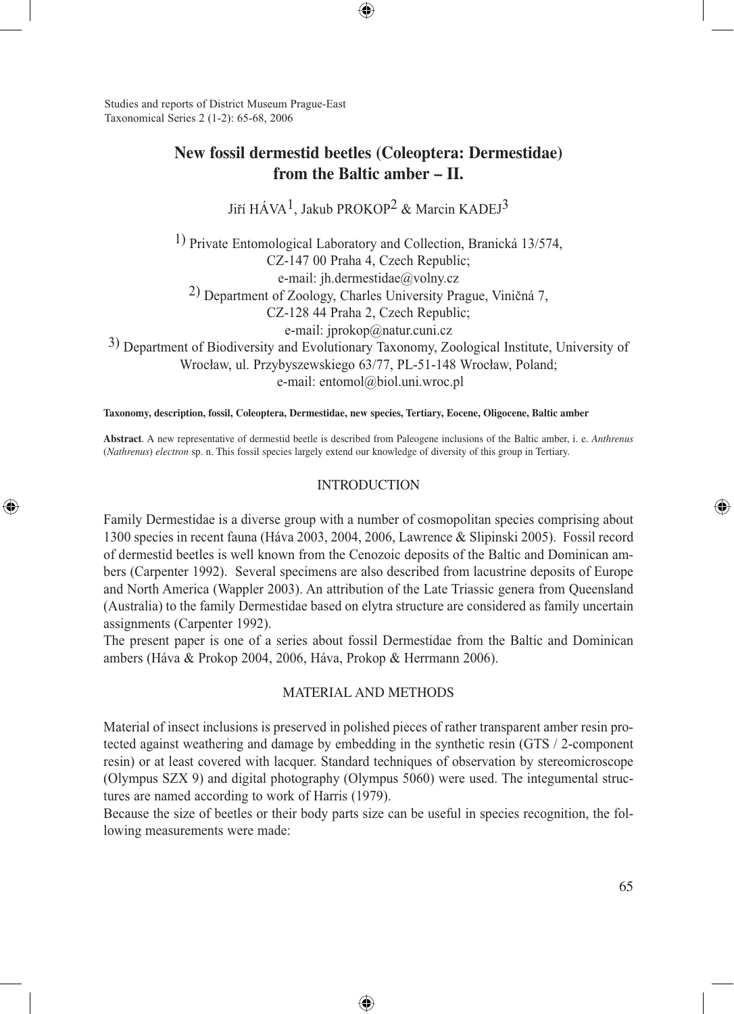Studies and reports of District Museum Prague-East Taxonomical Series 2 (1-2): 65-68, 2006

⊕

# **New fossil dermestid beetles (Coleoptera: Dermestidae) from the Baltic amber – II.**

⊕

Jiří HÁVA<sup>1</sup>, Jakub PROKOP<sup>2</sup> & Marcin KADEJ<sup>3</sup>

1) Private Entomological Laboratory and Collection, Branická 13/574, CZ-147 00 Praha 4, Czech Republic; e-mail: jh.dermestidae@volny.cz 2) Department of Zoology, Charles University Prague, Viničná 7, CZ-128 44 Praha 2, Czech Republic;

e-mail: jprokop@natur.cuni.cz<br>3) Department of Biodiversity and Evolutionary Taxonomy, Zoological Institute, University of Wrocław, ul. Przybyszewskiego 63/77, PL-51-148 Wrocław, Poland; e-mail: entomol@biol.uni.wroc.pl

**Taxonomy, description, fossil, Coleoptera, Dermestidae, new species, Tertiary, Eocene, Oligocene, Baltic amber**

**Abstract**. A new representative of dermestid beetle is described from Paleogene inclusions of the Baltic amber, i. e. *Anthrenus* (*Nathrenus*) *electron* sp. n. This fossil species largely extend our knowledge of diversity of this group in Tertiary.

# INTRODUCTION

Family Dermestidae is a diverse group with a number of cosmopolitan species comprising about 1300 species in recent fauna (Háva 2003, 2004, 2006, Lawrence & Slipinski 2005). Fossil record of dermestid beetles is well known from the Cenozoic deposits of the Baltic and Dominican ambers (Carpenter 1992). Several specimens are also described from lacustrine deposits of Europe and North America (Wappler 2003). An attribution of the Late Triassic genera from Queensland (Australia) to the family Dermestidae based on elytra structure are considered as family uncertain assignments (Carpenter 1992).

The present paper is one of a series about fossil Dermestidae from the Baltic and Dominican ambers (Háva & Prokop 2004, 2006, Háva, Prokop & Herrmann 2006).

## MATERIAL AND METHODS

Material of insect inclusions is preserved in polished pieces of rather transparent amber resin protected against weathering and damage by embedding in the synthetic resin (GTS / 2-component resin) or at least covered with lacquer. Standard techniques of observation by stereomicroscope (Olympus SZX 9) and digital photography (Olympus 5060) were used. The integumental structures are named according to work of Harris (1979).

Because the size of beetles or their body parts size can be useful in species recognition, the following measurements were made:

⊕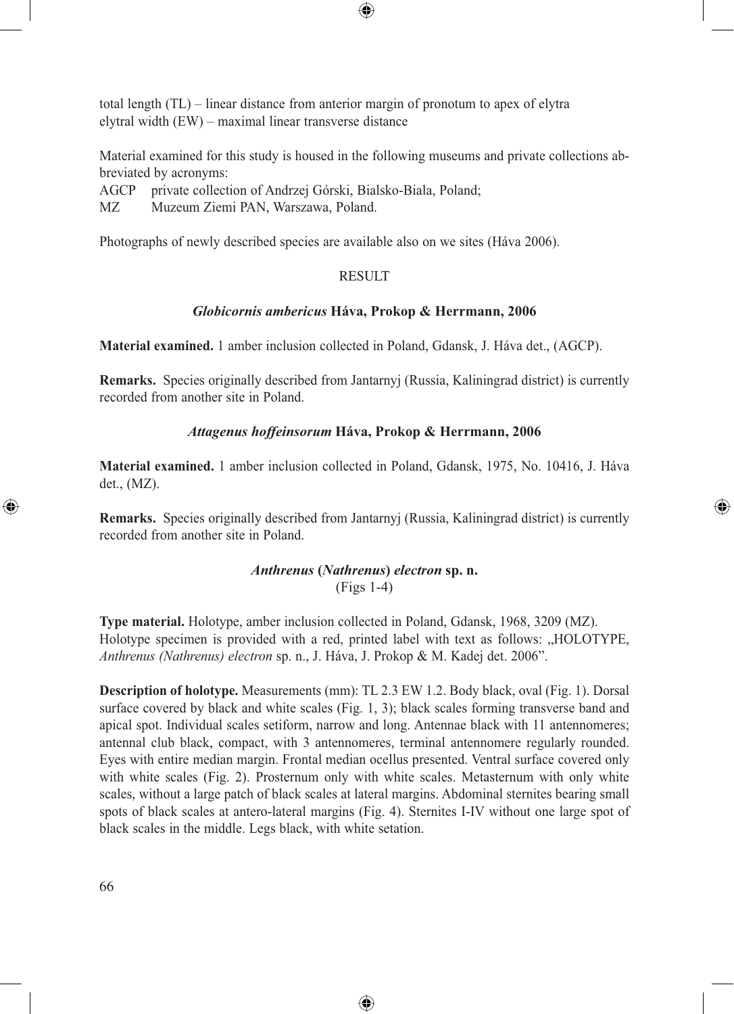total length (TL) – linear distance from anterior margin of pronotum to apex of elytra elytral width (EW) – maximal linear transverse distance

Material examined for this study is housed in the following museums and private collections abbreviated by acronyms:

⊕

AGCP private collection of Andrzej Górski, Bialsko-Biala, Poland;

MZ Muzeum Ziemi PAN, Warszawa, Poland.

Photographs of newly described species are available also on we sites (Háva 2006).

## RESULT

### *Globicornis ambericus* **Háva, Prokop & Herrmann, 2006**

**Material examined.** 1 amber inclusion collected in Poland, Gdansk, J. Háva det., (AGCP).

**Remarks.** Species originally described from Jantarnyj (Russia, Kaliningrad district) is currently recorded from another site in Poland.

### *Attagenus hoffeinsorum* **Háva, Prokop & Herrmann, 2006**

**Material examined.** 1 amber inclusion collected in Poland, Gdansk, 1975, No. 10416, J. Háva det., (MZ).

**Remarks.** Species originally described from Jantarnyj (Russia, Kaliningrad district) is currently recorded from another site in Poland.

⊕

# *Anthrenus* **(***Nathrenus***)** *electron* **sp. n.** (Figs 1-4)

**Type material.** Holotype, amber inclusion collected in Poland, Gdansk, 1968, 3209 (MZ). Holotype specimen is provided with a red, printed label with text as follows: "HOLOTYPE, *Anthrenus (Nathrenus) electron* sp. n., J. Háva, J. Prokop & M. Kadej det. 2006".

**Description of holotype.** Measurements (mm): TL 2.3 EW 1.2. Body black, oval (Fig. 1). Dorsal surface covered by black and white scales (Fig. 1, 3); black scales forming transverse band and apical spot. Individual scales setiform, narrow and long. Antennae black with 11 antennomeres; antennal club black, compact, with 3 antennomeres, terminal antennomere regularly rounded. Eyes with entire median margin. Frontal median ocellus presented. Ventral surface covered only with white scales (Fig. 2). Prosternum only with white scales. Metasternum with only white scales, without a large patch of black scales at lateral margins. Abdominal sternites bearing small spots of black scales at antero-lateral margins (Fig. 4). Sternites I-IV without one large spot of black scales in the middle. Legs black, with white setation.

⊕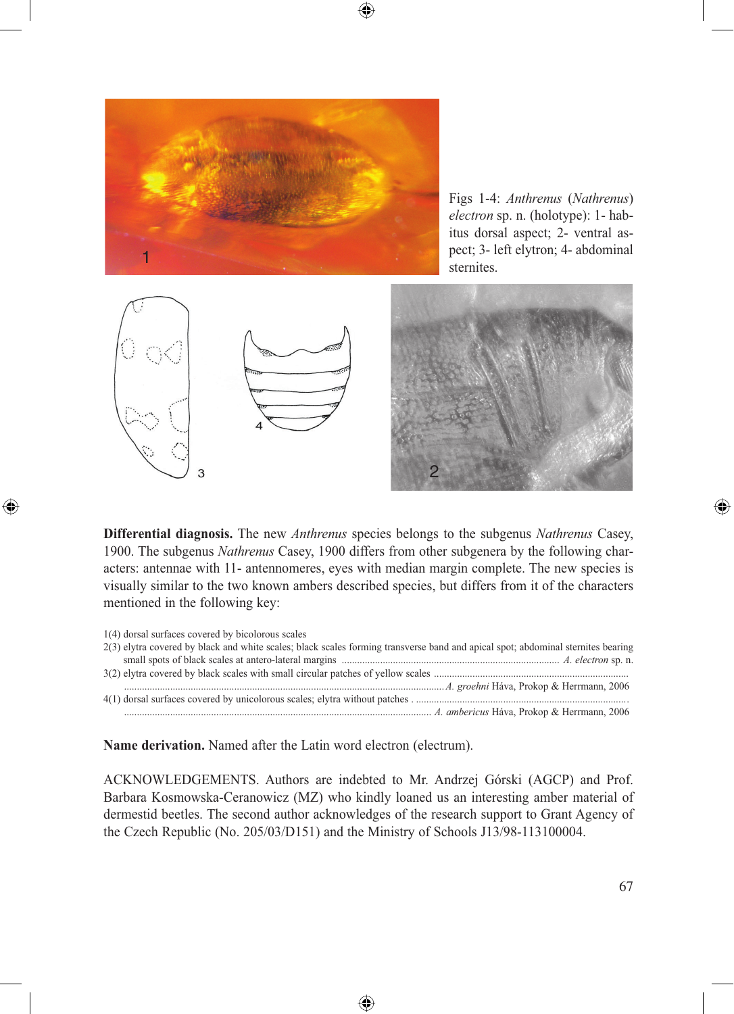

Figs 1-4: *Anthrenus* (*Nathrenus*) *electron* sp. n. (holotype): 1- habitus dorsal aspect; 2- ventral aspect; 3- left elytron; 4- abdominal



 $\bigcirc$ 



**Differential diagnosis.** The new *Anthrenus* species belongs to the subgenus *Nathrenus* Casey, 1900. The subgenus *Nathrenus* Casey, 1900 differs from other subgenera by the following characters: antennae with 11- antennomeres, eyes with median margin complete. The new species is visually similar to the two known ambers described species, but differs from it of the characters mentioned in the following key:

⊕

| 1(4) dorsal surfaces covered by bicolorous scales                                                                                |
|----------------------------------------------------------------------------------------------------------------------------------|
| 2(3) elytra covered by black and white scales; black scales forming transverse band and apical spot; abdominal sternites bearing |
|                                                                                                                                  |
|                                                                                                                                  |
|                                                                                                                                  |
|                                                                                                                                  |
|                                                                                                                                  |

**Name derivation.** Named after the Latin word electron (electrum).

ACKNOWLEDGEMENTS. Authors are indebted to Mr. Andrzej Górski (AGCP) and Prof. Barbara Kosmowska-Ceranowicz (MZ) who kindly loaned us an interesting amber material of dermestid beetles. The second author acknowledges of the research support to Grant Agency of the Czech Republic (No. 205/03/D151) and the Ministry of Schools J13/98-113100004.

⊕